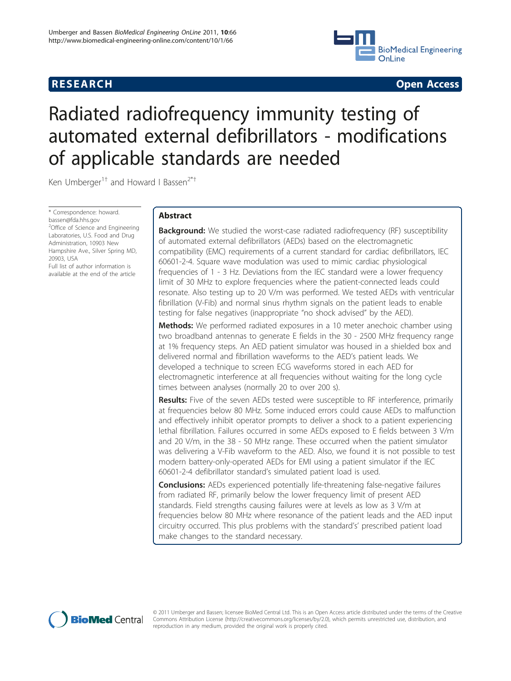

**RESEARCH CONSTRUCTION CONSTRUCTS** 

# Radiated radiofrequency immunity testing of automated external defibrillators - modifications of applicable standards are needed

Ken Umberger<sup>1†</sup> and Howard I Bassen<sup>2\*†</sup>

\* Correspondence: [howard.](mailto:howard.bassen@fda.hhs.gov) [bassen@fda.hhs.gov](mailto:howard.bassen@fda.hhs.gov) <sup>2</sup>Office of Science and Engineering Laboratories, U.S. Food and Drug Administration, 10903 New Hampshire Ave., Silver Spring MD, 20903, USA Full list of author information is available at the end of the article

# Abstract

**Background:** We studied the worst-case radiated radiofrequency (RF) susceptibility of automated external defibrillators (AEDs) based on the electromagnetic compatibility (EMC) requirements of a current standard for cardiac defibrillators, IEC 60601-2-4. Square wave modulation was used to mimic cardiac physiological frequencies of 1 - 3 Hz. Deviations from the IEC standard were a lower frequency limit of 30 MHz to explore frequencies where the patient-connected leads could resonate. Also testing up to 20 V/m was performed. We tested AEDs with ventricular fibrillation (V-Fib) and normal sinus rhythm signals on the patient leads to enable testing for false negatives (inappropriate "no shock advised" by the AED).

**Methods:** We performed radiated exposures in a 10 meter anechoic chamber using two broadband antennas to generate E fields in the 30 - 2500 MHz frequency range at 1% frequency steps. An AED patient simulator was housed in a shielded box and delivered normal and fibrillation waveforms to the AED's patient leads. We developed a technique to screen ECG waveforms stored in each AED for electromagnetic interference at all frequencies without waiting for the long cycle times between analyses (normally 20 to over 200 s).

Results: Five of the seven AEDs tested were susceptible to RF interference, primarily at frequencies below 80 MHz. Some induced errors could cause AEDs to malfunction and effectively inhibit operator prompts to deliver a shock to a patient experiencing lethal fibrillation. Failures occurred in some AEDs exposed to E fields between 3 V/m and 20 V/m, in the 38 - 50 MHz range. These occurred when the patient simulator was delivering a V-Fib waveform to the AED. Also, we found it is not possible to test modern battery-only-operated AEDs for EMI using a patient simulator if the IEC 60601-2-4 defibrillator standard's simulated patient load is used.

**Conclusions:** AEDs experienced potentially life-threatening false-negative failures from radiated RF, primarily below the lower frequency limit of present AED standards. Field strengths causing failures were at levels as low as 3 V/m at frequencies below 80 MHz where resonance of the patient leads and the AED input circuitry occurred. This plus problems with the standard's' prescribed patient load make changes to the standard necessary.



© 2011 Umberger and Bassen; licensee BioMed Central Ltd. This is an Open Access article distributed under the terms of the Creative Commons Attribution License [\(http://creativecommons.org/licenses/by/2.0](http://creativecommons.org/licenses/by/2.0)), which permits unrestricted use, distribution, and reproduction in any medium, provided the original work is properly cited.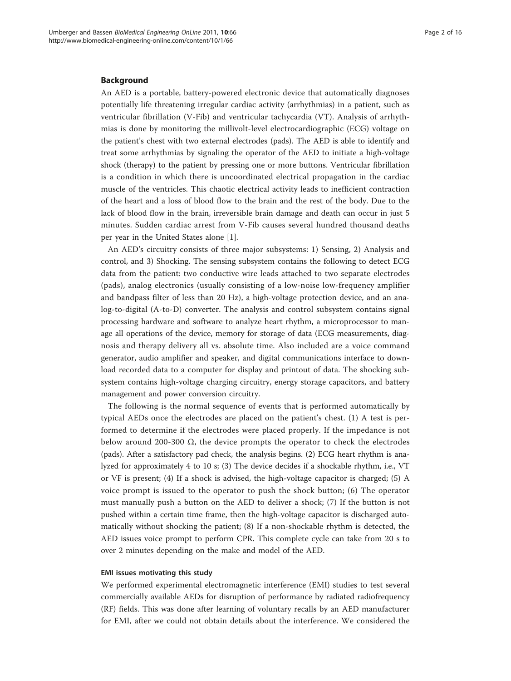# Background

An AED is a portable, battery-powered electronic device that automatically diagnoses potentially life threatening irregular cardiac activity (arrhythmias) in a patient, such as ventricular fibrillation (V-Fib) and ventricular tachycardia (VT). Analysis of arrhythmias is done by monitoring the millivolt-level electrocardiographic (ECG) voltage on the patient's chest with two external electrodes (pads). The AED is able to identify and treat some arrhythmias by signaling the operator of the AED to initiate a high-voltage shock (therapy) to the patient by pressing one or more buttons. Ventricular fibrillation is a condition in which there is uncoordinated electrical propagation in the cardiac muscle of the ventricles. This chaotic electrical activity leads to inefficient contraction of the heart and a loss of blood flow to the brain and the rest of the body. Due to the lack of blood flow in the brain, irreversible brain damage and death can occur in just 5 minutes. Sudden cardiac arrest from V-Fib causes several hundred thousand deaths per year in the United States alone [[1\]](#page-14-0).

An AED's circuitry consists of three major subsystems: 1) Sensing, 2) Analysis and control, and 3) Shocking. The sensing subsystem contains the following to detect ECG data from the patient: two conductive wire leads attached to two separate electrodes (pads), analog electronics (usually consisting of a low-noise low-frequency amplifier and bandpass filter of less than 20 Hz), a high-voltage protection device, and an analog-to-digital (A-to-D) converter. The analysis and control subsystem contains signal processing hardware and software to analyze heart rhythm, a microprocessor to manage all operations of the device, memory for storage of data (ECG measurements, diagnosis and therapy delivery all vs. absolute time. Also included are a voice command generator, audio amplifier and speaker, and digital communications interface to download recorded data to a computer for display and printout of data. The shocking subsystem contains high-voltage charging circuitry, energy storage capacitors, and battery management and power conversion circuitry.

The following is the normal sequence of events that is performed automatically by typical AEDs once the electrodes are placed on the patient's chest. (1) A test is performed to determine if the electrodes were placed properly. If the impedance is not below around 200-300  $\Omega$ , the device prompts the operator to check the electrodes (pads). After a satisfactory pad check, the analysis begins. (2) ECG heart rhythm is analyzed for approximately 4 to 10 s; (3) The device decides if a shockable rhythm, i.e., VT or VF is present; (4) If a shock is advised, the high-voltage capacitor is charged; (5) A voice prompt is issued to the operator to push the shock button; (6) The operator must manually push a button on the AED to deliver a shock; (7) If the button is not pushed within a certain time frame, then the high-voltage capacitor is discharged automatically without shocking the patient; (8) If a non-shockable rhythm is detected, the AED issues voice prompt to perform CPR. This complete cycle can take from 20 s to over 2 minutes depending on the make and model of the AED.

# EMI issues motivating this study

We performed experimental electromagnetic interference (EMI) studies to test several commercially available AEDs for disruption of performance by radiated radiofrequency (RF) fields. This was done after learning of voluntary recalls by an AED manufacturer for EMI, after we could not obtain details about the interference. We considered the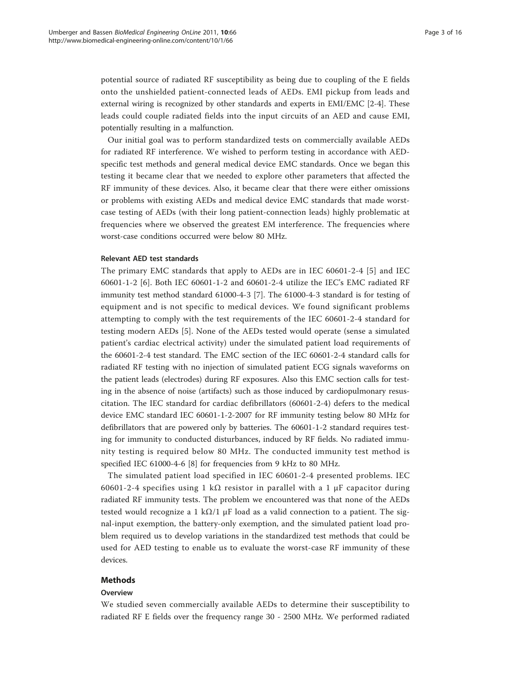potential source of radiated RF susceptibility as being due to coupling of the E fields onto the unshielded patient-connected leads of AEDs. EMI pickup from leads and external wiring is recognized by other standards and experts in EMI/EMC [\[2](#page-14-0)-[4\]](#page-15-0). These leads could couple radiated fields into the input circuits of an AED and cause EMI, potentially resulting in a malfunction.

Our initial goal was to perform standardized tests on commercially available AEDs for radiated RF interference. We wished to perform testing in accordance with AEDspecific test methods and general medical device EMC standards. Once we began this testing it became clear that we needed to explore other parameters that affected the RF immunity of these devices. Also, it became clear that there were either omissions or problems with existing AEDs and medical device EMC standards that made worstcase testing of AEDs (with their long patient-connection leads) highly problematic at frequencies where we observed the greatest EM interference. The frequencies where worst-case conditions occurred were below 80 MHz.

# Relevant AED test standards

The primary EMC standards that apply to AEDs are in IEC 60601-2-4 [[5\]](#page-15-0) and IEC 60601-1-2 [[6\]](#page-15-0). Both IEC 60601-1-2 and 60601-2-4 utilize the IEC's EMC radiated RF immunity test method standard 61000-4-3 [[7\]](#page-15-0). The 61000-4-3 standard is for testing of equipment and is not specific to medical devices. We found significant problems attempting to comply with the test requirements of the IEC 60601-2-4 standard for testing modern AEDs [[5\]](#page-15-0). None of the AEDs tested would operate (sense a simulated patient's cardiac electrical activity) under the simulated patient load requirements of the 60601-2-4 test standard. The EMC section of the IEC 60601-2-4 standard calls for radiated RF testing with no injection of simulated patient ECG signals waveforms on the patient leads (electrodes) during RF exposures. Also this EMC section calls for testing in the absence of noise (artifacts) such as those induced by cardiopulmonary resuscitation. The IEC standard for cardiac defibrillators (60601-2-4) defers to the medical device EMC standard IEC 60601-1-2-2007 for RF immunity testing below 80 MHz for defibrillators that are powered only by batteries. The 60601-1-2 standard requires testing for immunity to conducted disturbances, induced by RF fields. No radiated immunity testing is required below 80 MHz. The conducted immunity test method is specified IEC 61000-4-6 [\[8](#page-15-0)] for frequencies from 9 kHz to 80 MHz.

The simulated patient load specified in IEC 60601-2-4 presented problems. IEC 60601-2-4 specifies using 1 kΩ resistor in parallel with a 1  $\mu$ F capacitor during radiated RF immunity tests. The problem we encountered was that none of the AEDs tested would recognize a 1 k $\Omega/1$  µF load as a valid connection to a patient. The signal-input exemption, the battery-only exemption, and the simulated patient load problem required us to develop variations in the standardized test methods that could be used for AED testing to enable us to evaluate the worst-case RF immunity of these devices.

# Methods

#### **Overview**

We studied seven commercially available AEDs to determine their susceptibility to radiated RF E fields over the frequency range 30 - 2500 MHz. We performed radiated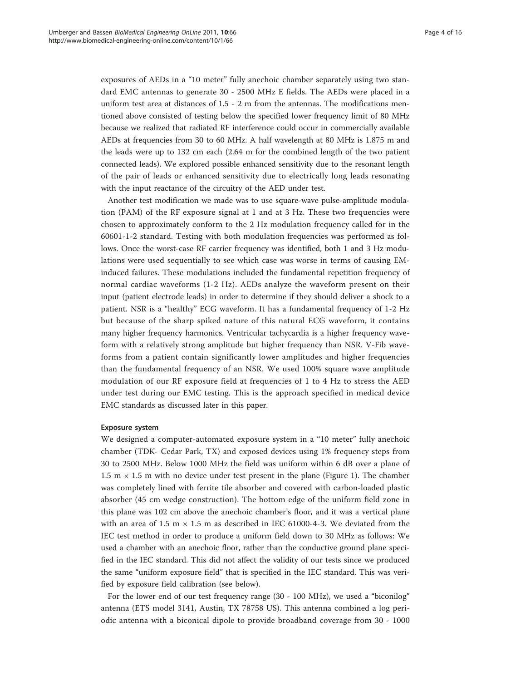exposures of AEDs in a "10 meter" fully anechoic chamber separately using two standard EMC antennas to generate 30 - 2500 MHz E fields. The AEDs were placed in a uniform test area at distances of 1.5 - 2 m from the antennas. The modifications mentioned above consisted of testing below the specified lower frequency limit of 80 MHz because we realized that radiated RF interference could occur in commercially available AEDs at frequencies from 30 to 60 MHz. A half wavelength at 80 MHz is 1.875 m and the leads were up to 132 cm each (2.64 m for the combined length of the two patient connected leads). We explored possible enhanced sensitivity due to the resonant length of the pair of leads or enhanced sensitivity due to electrically long leads resonating with the input reactance of the circuitry of the AED under test.

Another test modification we made was to use square-wave pulse-amplitude modulation (PAM) of the RF exposure signal at 1 and at 3 Hz. These two frequencies were chosen to approximately conform to the 2 Hz modulation frequency called for in the 60601-1-2 standard. Testing with both modulation frequencies was performed as follows. Once the worst-case RF carrier frequency was identified, both 1 and 3 Hz modulations were used sequentially to see which case was worse in terms of causing EMinduced failures. These modulations included the fundamental repetition frequency of normal cardiac waveforms (1-2 Hz). AEDs analyze the waveform present on their input (patient electrode leads) in order to determine if they should deliver a shock to a patient. NSR is a "healthy" ECG waveform. It has a fundamental frequency of 1-2 Hz but because of the sharp spiked nature of this natural ECG waveform, it contains many higher frequency harmonics. Ventricular tachycardia is a higher frequency waveform with a relatively strong amplitude but higher frequency than NSR. V-Fib waveforms from a patient contain significantly lower amplitudes and higher frequencies than the fundamental frequency of an NSR. We used 100% square wave amplitude modulation of our RF exposure field at frequencies of 1 to 4 Hz to stress the AED under test during our EMC testing. This is the approach specified in medical device EMC standards as discussed later in this paper.

# Exposure system

We designed a computer-automated exposure system in a "10 meter" fully anechoic chamber (TDK- Cedar Park, TX) and exposed devices using 1% frequency steps from 30 to 2500 MHz. Below 1000 MHz the field was uniform within 6 dB over a plane of 1.5 m  $\times$  1.5 m with no device under test present in the plane (Figure [1\)](#page-4-0). The chamber was completely lined with ferrite tile absorber and covered with carbon-loaded plastic absorber (45 cm wedge construction). The bottom edge of the uniform field zone in this plane was 102 cm above the anechoic chamber's floor, and it was a vertical plane with an area of 1.5 m  $\times$  1.5 m as described in IEC 61000-4-3. We deviated from the IEC test method in order to produce a uniform field down to 30 MHz as follows: We used a chamber with an anechoic floor, rather than the conductive ground plane specified in the IEC standard. This did not affect the validity of our tests since we produced the same "uniform exposure field" that is specified in the IEC standard. This was verified by exposure field calibration (see below).

For the lower end of our test frequency range (30 - 100 MHz), we used a "biconilog" antenna (ETS model 3141, Austin, TX 78758 US). This antenna combined a log periodic antenna with a biconical dipole to provide broadband coverage from 30 - 1000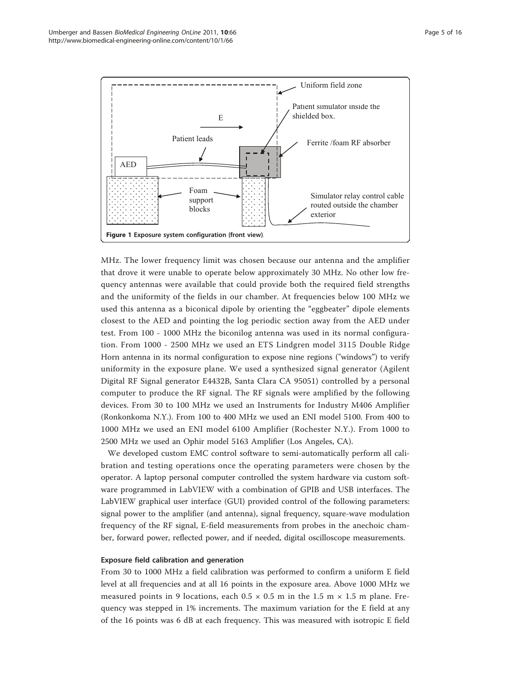<span id="page-4-0"></span>

MHz. The lower frequency limit was chosen because our antenna and the amplifier that drove it were unable to operate below approximately 30 MHz. No other low frequency antennas were available that could provide both the required field strengths and the uniformity of the fields in our chamber. At frequencies below 100 MHz we used this antenna as a biconical dipole by orienting the "eggbeater" dipole elements closest to the AED and pointing the log periodic section away from the AED under test. From 100 - 1000 MHz the biconilog antenna was used in its normal configuration. From 1000 - 2500 MHz we used an ETS Lindgren model 3115 Double Ridge Horn antenna in its normal configuration to expose nine regions ("windows") to verify uniformity in the exposure plane. We used a synthesized signal generator (Agilent Digital RF Signal generator E4432B, Santa Clara CA 95051) controlled by a personal computer to produce the RF signal. The RF signals were amplified by the following devices. From 30 to 100 MHz we used an Instruments for Industry M406 Amplifier (Ronkonkoma N.Y.). From 100 to 400 MHz we used an ENI model 5100. From 400 to 1000 MHz we used an ENI model 6100 Amplifier (Rochester N.Y.). From 1000 to 2500 MHz we used an Ophir model 5163 Amplifier (Los Angeles, CA).

We developed custom EMC control software to semi-automatically perform all calibration and testing operations once the operating parameters were chosen by the operator. A laptop personal computer controlled the system hardware via custom software programmed in LabVIEW with a combination of GPIB and USB interfaces. The LabVIEW graphical user interface (GUI) provided control of the following parameters: signal power to the amplifier (and antenna), signal frequency, square-wave modulation frequency of the RF signal, E-field measurements from probes in the anechoic chamber, forward power, reflected power, and if needed, digital oscilloscope measurements.

# Exposure field calibration and generation

From 30 to 1000 MHz a field calibration was performed to confirm a uniform E field level at all frequencies and at all 16 points in the exposure area. Above 1000 MHz we measured points in 9 locations, each  $0.5 \times 0.5$  m in the 1.5 m  $\times$  1.5 m plane. Frequency was stepped in 1% increments. The maximum variation for the E field at any of the 16 points was 6 dB at each frequency. This was measured with isotropic E field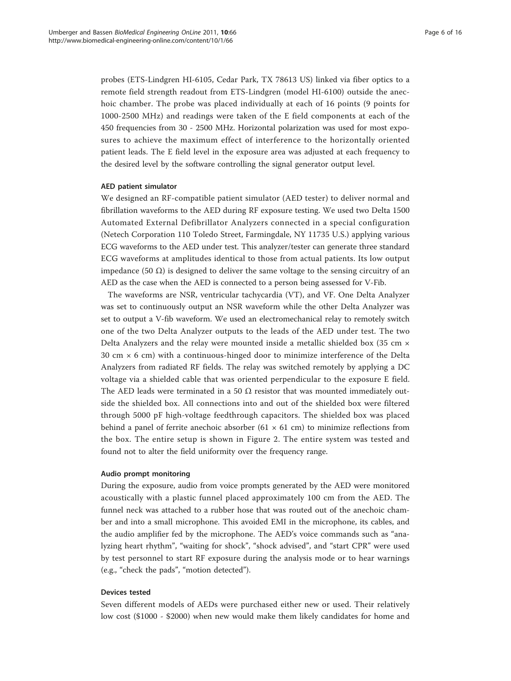probes (ETS-Lindgren HI-6105, Cedar Park, TX 78613 US) linked via fiber optics to a remote field strength readout from ETS-Lindgren (model HI-6100) outside the anechoic chamber. The probe was placed individually at each of 16 points (9 points for 1000-2500 MHz) and readings were taken of the E field components at each of the 450 frequencies from 30 - 2500 MHz. Horizontal polarization was used for most exposures to achieve the maximum effect of interference to the horizontally oriented patient leads. The E field level in the exposure area was adjusted at each frequency to the desired level by the software controlling the signal generator output level.

#### AED patient simulator

We designed an RF-compatible patient simulator (AED tester) to deliver normal and fibrillation waveforms to the AED during RF exposure testing. We used two Delta 1500 Automated External Defibrillator Analyzers connected in a special configuration (Netech Corporation 110 Toledo Street, Farmingdale, NY 11735 U.S.) applying various ECG waveforms to the AED under test. This analyzer/tester can generate three standard ECG waveforms at amplitudes identical to those from actual patients. Its low output impedance (50 Ω) is designed to deliver the same voltage to the sensing circuitry of an AED as the case when the AED is connected to a person being assessed for V-Fib.

The waveforms are NSR, ventricular tachycardia (VT), and VF. One Delta Analyzer was set to continuously output an NSR waveform while the other Delta Analyzer was set to output a V-fib waveform. We used an electromechanical relay to remotely switch one of the two Delta Analyzer outputs to the leads of the AED under test. The two Delta Analyzers and the relay were mounted inside a metallic shielded box (35 cm × 30 cm  $\times$  6 cm) with a continuous-hinged door to minimize interference of the Delta Analyzers from radiated RF fields. The relay was switched remotely by applying a DC voltage via a shielded cable that was oriented perpendicular to the exposure E field. The AED leads were terminated in a 50  $\Omega$  resistor that was mounted immediately outside the shielded box. All connections into and out of the shielded box were filtered through 5000 pF high-voltage feedthrough capacitors. The shielded box was placed behind a panel of ferrite anechoic absorber (61  $\times$  61 cm) to minimize reflections from the box. The entire setup is shown in Figure [2](#page-6-0). The entire system was tested and found not to alter the field uniformity over the frequency range.

## Audio prompt monitoring

During the exposure, audio from voice prompts generated by the AED were monitored acoustically with a plastic funnel placed approximately 100 cm from the AED. The funnel neck was attached to a rubber hose that was routed out of the anechoic chamber and into a small microphone. This avoided EMI in the microphone, its cables, and the audio amplifier fed by the microphone. The AED's voice commands such as "analyzing heart rhythm", "waiting for shock", "shock advised", and "start CPR" were used by test personnel to start RF exposure during the analysis mode or to hear warnings (e.g., "check the pads", "motion detected").

# Devices tested

Seven different models of AEDs were purchased either new or used. Their relatively low cost (\$1000 - \$2000) when new would make them likely candidates for home and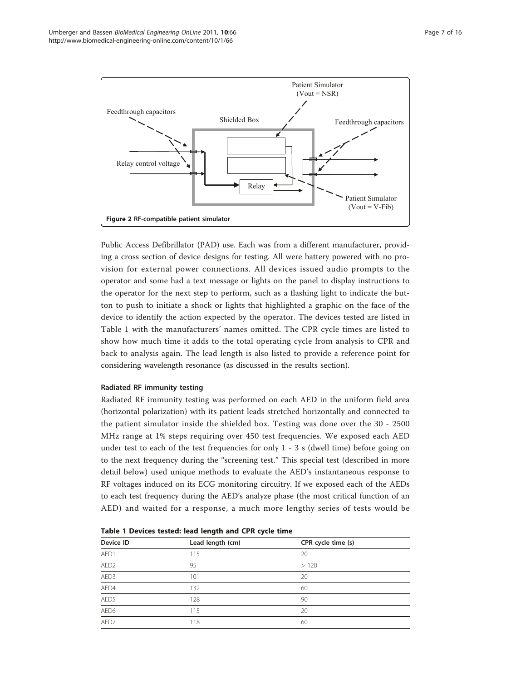<span id="page-6-0"></span>

Public Access Defibrillator (PAD) use. Each was from a different manufacturer, providing a cross section of device designs for testing. All were battery powered with no provision for external power connections. All devices issued audio prompts to the operator and some had a text message or lights on the panel to display instructions to the operator for the next step to perform, such as a flashing light to indicate the button to push to initiate a shock or lights that highlighted a graphic on the face of the device to identify the action expected by the operator. The devices tested are listed in Table 1 with the manufacturers' names omitted. The CPR cycle times are listed to show how much time it adds to the total operating cycle from analysis to CPR and back to analysis again. The lead length is also listed to provide a reference point for considering wavelength resonance (as discussed in the results section).

# Radiated RF immunity testing

Radiated RF immunity testing was performed on each AED in the uniform field area (horizontal polarization) with its patient leads stretched horizontally and connected to the patient simulator inside the shielded box. Testing was done over the 30 - 2500 MHz range at 1% steps requiring over 450 test frequencies. We exposed each AED under test to each of the test frequencies for only 1 - 3 s (dwell time) before going on to the next frequency during the "screening test." This special test (described in more detail below) used unique methods to evaluate the AED's instantaneous response to RF voltages induced on its ECG monitoring circuitry. If we exposed each of the AEDs to each test frequency during the AED's analyze phase (the most critical function of an AED) and waited for a response, a much more lengthy series of tests would be

| Device ID    | Lead length (cm) | CPR cycle time (s) |  |
|--------------|------------------|--------------------|--|
| AED1         | 115              | 20                 |  |
| AED2         | 95               | >120               |  |
| AED3         | 101              | 20                 |  |
| AED4         | 132              | 60                 |  |
| AED5         | 128              | 90                 |  |
| AED6         | 115              | 20                 |  |
| AED7<br>____ | 118              | 60                 |  |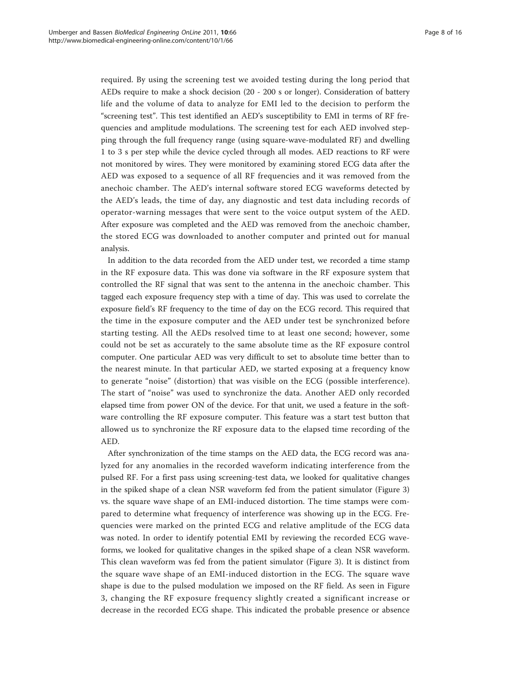required. By using the screening test we avoided testing during the long period that AEDs require to make a shock decision (20 - 200 s or longer). Consideration of battery life and the volume of data to analyze for EMI led to the decision to perform the "screening test". This test identified an AED's susceptibility to EMI in terms of RF frequencies and amplitude modulations. The screening test for each AED involved stepping through the full frequency range (using square-wave-modulated RF) and dwelling 1 to 3 s per step while the device cycled through all modes. AED reactions to RF were not monitored by wires. They were monitored by examining stored ECG data after the AED was exposed to a sequence of all RF frequencies and it was removed from the anechoic chamber. The AED's internal software stored ECG waveforms detected by the AED's leads, the time of day, any diagnostic and test data including records of operator-warning messages that were sent to the voice output system of the AED. After exposure was completed and the AED was removed from the anechoic chamber, the stored ECG was downloaded to another computer and printed out for manual analysis.

In addition to the data recorded from the AED under test, we recorded a time stamp in the RF exposure data. This was done via software in the RF exposure system that controlled the RF signal that was sent to the antenna in the anechoic chamber. This tagged each exposure frequency step with a time of day. This was used to correlate the exposure field's RF frequency to the time of day on the ECG record. This required that the time in the exposure computer and the AED under test be synchronized before starting testing. All the AEDs resolved time to at least one second; however, some could not be set as accurately to the same absolute time as the RF exposure control computer. One particular AED was very difficult to set to absolute time better than to the nearest minute. In that particular AED, we started exposing at a frequency know to generate "noise" (distortion) that was visible on the ECG (possible interference). The start of "noise" was used to synchronize the data. Another AED only recorded elapsed time from power ON of the device. For that unit, we used a feature in the software controlling the RF exposure computer. This feature was a start test button that allowed us to synchronize the RF exposure data to the elapsed time recording of the AED.

After synchronization of the time stamps on the AED data, the ECG record was analyzed for any anomalies in the recorded waveform indicating interference from the pulsed RF. For a first pass using screening-test data, we looked for qualitative changes in the spiked shape of a clean NSR waveform fed from the patient simulator (Figure [3](#page-8-0)) vs. the square wave shape of an EMI-induced distortion. The time stamps were compared to determine what frequency of interference was showing up in the ECG. Frequencies were marked on the printed ECG and relative amplitude of the ECG data was noted. In order to identify potential EMI by reviewing the recorded ECG waveforms, we looked for qualitative changes in the spiked shape of a clean NSR waveform. This clean waveform was fed from the patient simulator (Figure [3\)](#page-8-0). It is distinct from the square wave shape of an EMI-induced distortion in the ECG. The square wave shape is due to the pulsed modulation we imposed on the RF field. As seen in Figure [3,](#page-8-0) changing the RF exposure frequency slightly created a significant increase or decrease in the recorded ECG shape. This indicated the probable presence or absence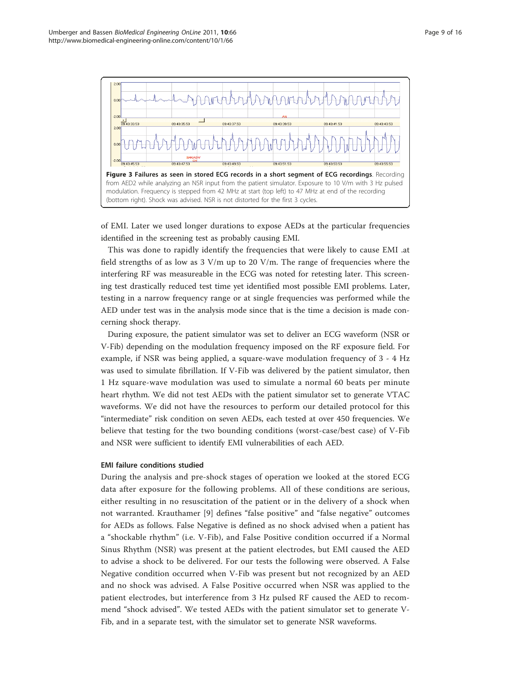<span id="page-8-0"></span>

of EMI. Later we used longer durations to expose AEDs at the particular frequencies identified in the screening test as probably causing EMI.

This was done to rapidly identify the frequencies that were likely to cause EMI .at field strengths of as low as  $3 \text{ V/m}$  up to  $20 \text{ V/m}$ . The range of frequencies where the interfering RF was measureable in the ECG was noted for retesting later. This screening test drastically reduced test time yet identified most possible EMI problems. Later, testing in a narrow frequency range or at single frequencies was performed while the AED under test was in the analysis mode since that is the time a decision is made concerning shock therapy.

During exposure, the patient simulator was set to deliver an ECG waveform (NSR or V-Fib) depending on the modulation frequency imposed on the RF exposure field. For example, if NSR was being applied, a square-wave modulation frequency of 3 - 4 Hz was used to simulate fibrillation. If V-Fib was delivered by the patient simulator, then 1 Hz square-wave modulation was used to simulate a normal 60 beats per minute heart rhythm. We did not test AEDs with the patient simulator set to generate VTAC waveforms. We did not have the resources to perform our detailed protocol for this "intermediate" risk condition on seven AEDs, each tested at over 450 frequencies. We believe that testing for the two bounding conditions (worst-case/best case) of V-Fib and NSR were sufficient to identify EMI vulnerabilities of each AED.

# EMI failure conditions studied

During the analysis and pre-shock stages of operation we looked at the stored ECG data after exposure for the following problems. All of these conditions are serious, either resulting in no resuscitation of the patient or in the delivery of a shock when not warranted. Krauthamer [\[9\]](#page-15-0) defines "false positive" and "false negative" outcomes for AEDs as follows. False Negative is defined as no shock advised when a patient has a "shockable rhythm" (i.e. V-Fib), and False Positive condition occurred if a Normal Sinus Rhythm (NSR) was present at the patient electrodes, but EMI caused the AED to advise a shock to be delivered. For our tests the following were observed. A False Negative condition occurred when V-Fib was present but not recognized by an AED and no shock was advised. A False Positive occurred when NSR was applied to the patient electrodes, but interference from 3 Hz pulsed RF caused the AED to recommend "shock advised". We tested AEDs with the patient simulator set to generate V-Fib, and in a separate test, with the simulator set to generate NSR waveforms.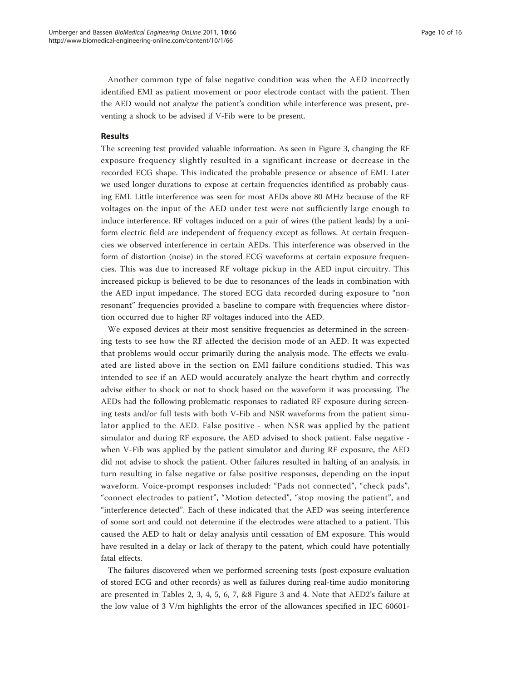Another common type of false negative condition was when the AED incorrectly identified EMI as patient movement or poor electrode contact with the patient. Then the AED would not analyze the patient's condition while interference was present, preventing a shock to be advised if V-Fib were to be present.

# Results

The screening test provided valuable information. As seen in Figure [3](#page-8-0), changing the RF exposure frequency slightly resulted in a significant increase or decrease in the recorded ECG shape. This indicated the probable presence or absence of EMI. Later we used longer durations to expose at certain frequencies identified as probably causing EMI. Little interference was seen for most AEDs above 80 MHz because of the RF voltages on the input of the AED under test were not sufficiently large enough to induce interference. RF voltages induced on a pair of wires (the patient leads) by a uniform electric field are independent of frequency except as follows. At certain frequencies we observed interference in certain AEDs. This interference was observed in the form of distortion (noise) in the stored ECG waveforms at certain exposure frequencies. This was due to increased RF voltage pickup in the AED input circuitry. This increased pickup is believed to be due to resonances of the leads in combination with the AED input impedance. The stored ECG data recorded during exposure to "non resonant" frequencies provided a baseline to compare with frequencies where distortion occurred due to higher RF voltages induced into the AED.

We exposed devices at their most sensitive frequencies as determined in the screening tests to see how the RF affected the decision mode of an AED. It was expected that problems would occur primarily during the analysis mode. The effects we evaluated are listed above in the section on EMI failure conditions studied. This was intended to see if an AED would accurately analyze the heart rhythm and correctly advise either to shock or not to shock based on the waveform it was processing. The AEDs had the following problematic responses to radiated RF exposure during screening tests and/or full tests with both V-Fib and NSR waveforms from the patient simulator applied to the AED. False positive - when NSR was applied by the patient simulator and during RF exposure, the AED advised to shock patient. False negative when V-Fib was applied by the patient simulator and during RF exposure, the AED did not advise to shock the patient. Other failures resulted in halting of an analysis, in turn resulting in false negative or false positive responses, depending on the input waveform. Voice-prompt responses included: "Pads not connected", "check pads", "connect electrodes to patient", "Motion detected", "stop moving the patient", and "interference detected". Each of these indicated that the AED was seeing interference of some sort and could not determine if the electrodes were attached to a patient. This caused the AED to halt or delay analysis until cessation of EM exposure. This would have resulted in a delay or lack of therapy to the patent, which could have potentially fatal effects.

The failures discovered when we performed screening tests (post-exposure evaluation of stored ECG and other records) as well as failures during real-time audio monitoring are presented in Tables [2, 3](#page-10-0), [4, 5](#page-11-0), [6, 7](#page-12-0), &[8](#page-13-0) Figure [3](#page-8-0) and [4](#page-13-0). Note that AED2's failure at the low value of 3 V/m highlights the error of the allowances specified in IEC 60601-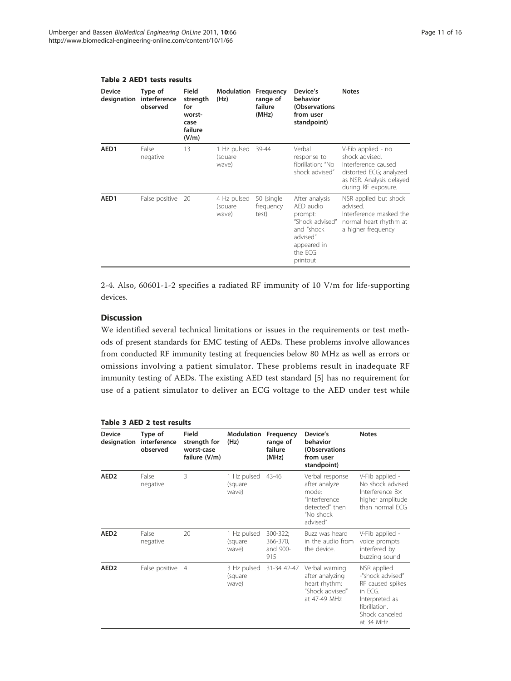|                              | נטומנטו נוכטנט ונשבת 4 טומונו       |                                                                |                                 |                                           |                                                                                                                           |                                                                                                                                           |
|------------------------------|-------------------------------------|----------------------------------------------------------------|---------------------------------|-------------------------------------------|---------------------------------------------------------------------------------------------------------------------------|-------------------------------------------------------------------------------------------------------------------------------------------|
| <b>Device</b><br>designation | Type of<br>interference<br>observed | Field<br>strength<br>for<br>worst-<br>case<br>failure<br>(V/m) | Modulation<br>(Hz)              | Frequency<br>range of<br>failure<br>(MHz) | Device's<br>behavior<br>(Observations<br>from user<br>standpoint)                                                         | <b>Notes</b>                                                                                                                              |
| AED1                         | False<br>negative                   | 13                                                             | 1 Hz pulsed<br>(square<br>wave) | 39-44                                     | Verbal<br>response to<br>fibrillation: "No<br>shock advised"                                                              | V-Fib applied - no<br>shock advised.<br>Interference caused<br>distorted ECG; analyzed<br>as NSR. Analysis delayed<br>during RF exposure. |
| AED1                         | False positive 20                   |                                                                | 4 Hz pulsed<br>(square<br>wave) | 50 (single<br>frequency<br>test)          | After analysis<br>AED audio<br>prompt:<br>"Shock advised"<br>and "shock<br>advised"<br>appeared in<br>the ECG<br>printout | NSR applied but shock<br>advised.<br>Interference masked the<br>normal heart rhythm at<br>a higher frequency                              |

# <span id="page-10-0"></span>Table 2 AED1 tests results

2-4. Also, 60601-1-2 specifies a radiated RF immunity of 10 V/m for life-supporting devices.

# **Discussion**

We identified several technical limitations or issues in the requirements or test methods of present standards for EMC testing of AEDs. These problems involve allowances from conducted RF immunity testing at frequencies below 80 MHz as well as errors or omissions involving a patient simulator. These problems result in inadequate RF immunity testing of AEDs. The existing AED test standard [[5\]](#page-15-0) has no requirement for use of a patient simulator to deliver an ECG voltage to the AED under test while

| Table 3 AED 2 test results |  |  |  |
|----------------------------|--|--|--|
|----------------------------|--|--|--|

| <b>Device</b><br>designation | Type of<br>interference<br>observed | Field<br>strength for<br>worst-case<br>failure (V/m) | Modulation<br>(Hz)               | Frequency<br>range of<br>failure<br>(MHz) | Device's<br>behavior<br>(Observations<br>from user<br>standpoint)                                     | <b>Notes</b>                                                                                                                      |
|------------------------------|-------------------------------------|------------------------------------------------------|----------------------------------|-------------------------------------------|-------------------------------------------------------------------------------------------------------|-----------------------------------------------------------------------------------------------------------------------------------|
| AED <sub>2</sub>             | False<br>negative                   | 3                                                    | 1 Hz pulsed<br>(square<br>wave)  | 43-46                                     | Verbal response<br>after analyze<br>mode:<br>"Interference<br>detected" then<br>"No shock<br>advised" | V-Fib applied -<br>No shock advised<br>Interference 8×<br>higher amplitude<br>than normal FCG                                     |
| AED <sub>2</sub>             | False<br>negative                   | 20                                                   | 1 Hz pulsed<br>(square)<br>wave) | 300-322;<br>366-370,<br>and 900-<br>915   | Buzz was heard<br>in the audio from<br>the device.                                                    | V-Fib applied -<br>voice prompts<br>interfered by<br>buzzing sound                                                                |
| AED <sub>2</sub>             | False positive 4                    |                                                      | 3 Hz pulsed<br>(square<br>wave)  | 31-34 42-47                               | Verbal warning<br>after analyzing<br>heart rhythm:<br>"Shock advised"<br>at 47-49 MHz                 | NSR applied<br>-"shock advised"<br>RF caused spikes<br>in $FCG$<br>Interpreted as<br>fibrillation.<br>Shock canceled<br>at 34 MHz |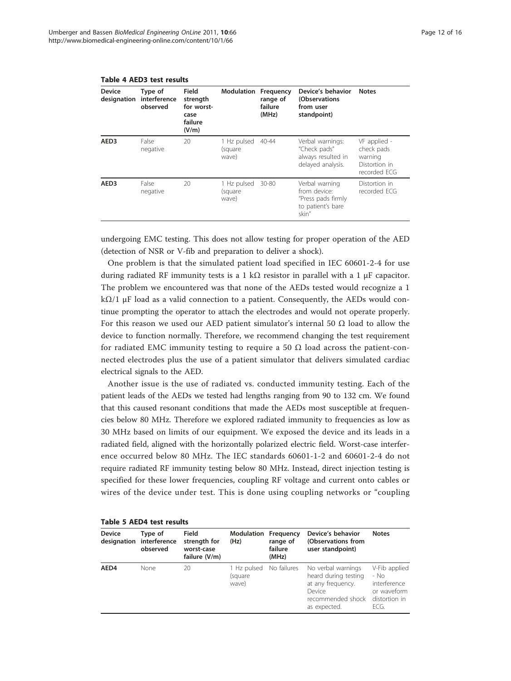| <b>Device</b><br>designation | Type of<br>interference<br>observed | Field<br>strength<br>for worst-<br>case<br>failure<br>(V/m) | Modulation                      | Frequency<br>range of<br>failure<br>(MHz) | Device's behavior<br>(Observations<br>from user<br>standpoint)                     | <b>Notes</b>                                                           |
|------------------------------|-------------------------------------|-------------------------------------------------------------|---------------------------------|-------------------------------------------|------------------------------------------------------------------------------------|------------------------------------------------------------------------|
| AED <sub>3</sub>             | False<br>negative                   | 20                                                          | 1 Hz pulsed<br>(square<br>wave) | $40 - 44$                                 | Verbal warnings:<br>"Check pads"<br>always resulted in<br>delayed analysis.        | VF applied -<br>check pads<br>warning<br>Distortion in<br>recorded ECG |
| AED <sub>3</sub>             | False<br>negative                   | 20                                                          | 1 Hz pulsed<br>(square<br>wave) | 30-80                                     | Verbal warning<br>from device:<br>"Press pads firmly<br>to patient's bare<br>skin" | Distortion in<br>recorded FCG                                          |

#### <span id="page-11-0"></span>Table 4 AED3 test results

undergoing EMC testing. This does not allow testing for proper operation of the AED (detection of NSR or V-fib and preparation to deliver a shock).

One problem is that the simulated patient load specified in IEC 60601-2-4 for use during radiated RF immunity tests is a 1 kΩ resistor in parallel with a 1  $\mu$ F capacitor. The problem we encountered was that none of the AEDs tested would recognize a 1 kΩ/1 μF load as a valid connection to a patient. Consequently, the AEDs would continue prompting the operator to attach the electrodes and would not operate properly. For this reason we used our AED patient simulator's internal 50  $\Omega$  load to allow the device to function normally. Therefore, we recommend changing the test requirement for radiated EMC immunity testing to require a 50  $\Omega$  load across the patient-connected electrodes plus the use of a patient simulator that delivers simulated cardiac electrical signals to the AED.

Another issue is the use of radiated vs. conducted immunity testing. Each of the patient leads of the AEDs we tested had lengths ranging from 90 to 132 cm. We found that this caused resonant conditions that made the AEDs most susceptible at frequencies below 80 MHz. Therefore we explored radiated immunity to frequencies as low as 30 MHz based on limits of our equipment. We exposed the device and its leads in a radiated field, aligned with the horizontally polarized electric field. Worst-case interference occurred below 80 MHz. The IEC standards 60601-1-2 and 60601-2-4 do not require radiated RF immunity testing below 80 MHz. Instead, direct injection testing is specified for these lower frequencies, coupling RF voltage and current onto cables or wires of the device under test. This is done using coupling networks or "coupling

| <b>Table 5 AED4 test results</b> |                                     |                                                             |                                 |                                           |                                                                                                                |                                                                               |  |  |
|----------------------------------|-------------------------------------|-------------------------------------------------------------|---------------------------------|-------------------------------------------|----------------------------------------------------------------------------------------------------------------|-------------------------------------------------------------------------------|--|--|
| <b>Device</b><br>designation     | Type of<br>interference<br>observed | <b>Field</b><br>strength for<br>worst-case<br>failure (V/m) | Modulation<br>(Hz)              | Frequency<br>range of<br>failure<br>(MHz) | Device's behavior<br>(Observations from<br>user standpoint)                                                    | <b>Notes</b>                                                                  |  |  |
| AED4                             | None                                | 20                                                          | 1 Hz pulsed<br>(square<br>wave) | No failures                               | No verbal warnings<br>heard during testing<br>at any frequency.<br>Device<br>recommended shock<br>as expected. | V-Fib applied<br>- No<br>interference<br>or waveform<br>distortion in<br>FCG. |  |  |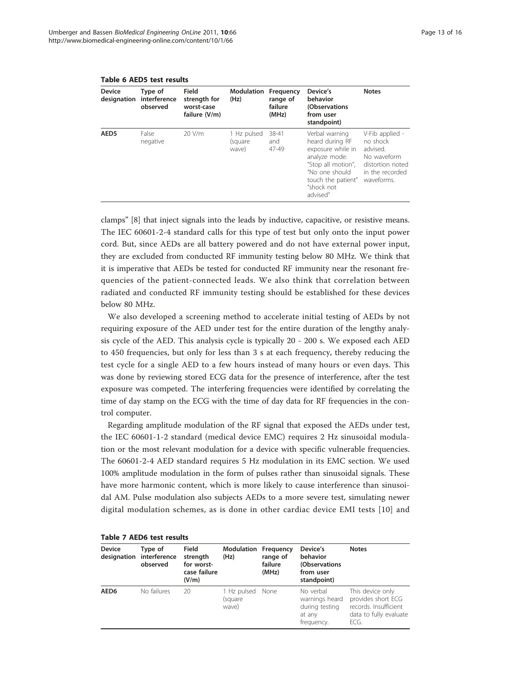| <b>Device</b>    | Type of<br>designation interference<br>observed | Field<br>strength for<br>worst-case<br>failure (V/m) | <b>Modulation Frequency</b><br>(Hz) | range of<br>failure<br>(MHz) | Device's<br>behavior<br>(Observations<br>from user<br>standpoint)                                                                                               | <b>Notes</b>                                                                                                |
|------------------|-------------------------------------------------|------------------------------------------------------|-------------------------------------|------------------------------|-----------------------------------------------------------------------------------------------------------------------------------------------------------------|-------------------------------------------------------------------------------------------------------------|
| AED <sub>5</sub> | False<br>negative                               | 20 V/m                                               | 1 Hz pulsed<br>(square<br>wave)     | 38-41<br>and<br>47-49        | Verbal warning<br>heard during RF<br>exposure while in<br>analyze mode:<br>"Stop all motion",<br>"No one should<br>touch the patient"<br>"shock not<br>advised" | V-Fib applied -<br>no shock<br>advised.<br>No waveform<br>distortion noted<br>in the recorded<br>waveforms. |

<span id="page-12-0"></span>Table 6 AED5 test results

clamps" [[8\]](#page-15-0) that inject signals into the leads by inductive, capacitive, or resistive means. The IEC 60601-2-4 standard calls for this type of test but only onto the input power cord. But, since AEDs are all battery powered and do not have external power input, they are excluded from conducted RF immunity testing below 80 MHz. We think that it is imperative that AEDs be tested for conducted RF immunity near the resonant frequencies of the patient-connected leads. We also think that correlation between radiated and conducted RF immunity testing should be established for these devices below 80 MHz.

We also developed a screening method to accelerate initial testing of AEDs by not requiring exposure of the AED under test for the entire duration of the lengthy analysis cycle of the AED. This analysis cycle is typically 20 - 200 s. We exposed each AED to 450 frequencies, but only for less than 3 s at each frequency, thereby reducing the test cycle for a single AED to a few hours instead of many hours or even days. This was done by reviewing stored ECG data for the presence of interference, after the test exposure was competed. The interfering frequencies were identified by correlating the time of day stamp on the ECG with the time of day data for RF frequencies in the control computer.

Regarding amplitude modulation of the RF signal that exposed the AEDs under test, the IEC 60601-1-2 standard (medical device EMC) requires 2 Hz sinusoidal modulation or the most relevant modulation for a device with specific vulnerable frequencies. The 60601-2-4 AED standard requires 5 Hz modulation in its EMC section. We used 100% amplitude modulation in the form of pulses rather than sinusoidal signals. These have more harmonic content, which is more likely to cause interference than sinusoidal AM. Pulse modulation also subjects AEDs to a more severe test, simulating newer digital modulation schemes, as is done in other cardiac device EMI tests [[10](#page-15-0)] and

| <b>Device</b>    | Type of<br>designation interference<br>observed | <b>Field</b><br>strength<br>for worst-<br>case failure<br>(V/m) | <b>Modulation Frequency</b><br>(Hz) | range of<br>failure<br>(MHz) | Device's<br>behavior<br>(Observations<br>from user<br>standpoint)     | <b>Notes</b>                                                                                      |
|------------------|-------------------------------------------------|-----------------------------------------------------------------|-------------------------------------|------------------------------|-----------------------------------------------------------------------|---------------------------------------------------------------------------------------------------|
| AED <sub>6</sub> | No failures                                     | 20                                                              | 1 Hz pulsed<br>(square<br>wave)     | None                         | No verbal<br>warnings heard<br>during testing<br>at any<br>frequency. | This device only<br>provides short ECG<br>records. Insufficient<br>data to fully evaluate<br>ECG. |

|  |  |  |  | Table 7 AED6 test results |
|--|--|--|--|---------------------------|
|--|--|--|--|---------------------------|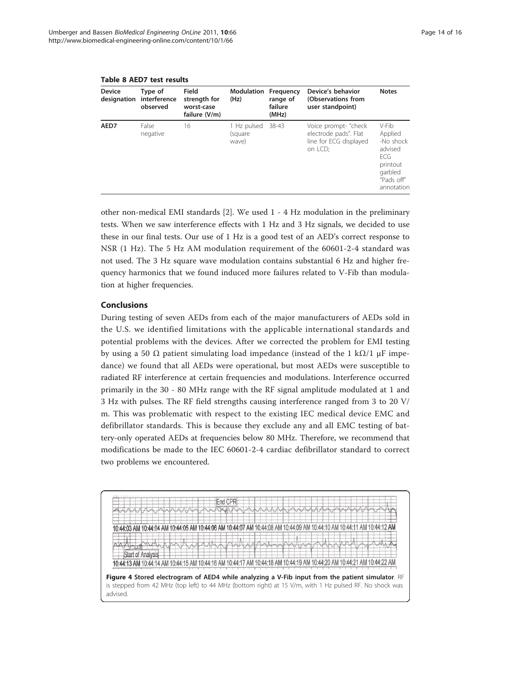| <b>Device</b><br>designation | Type of<br>interference<br>observed | Field<br>strength for<br>worst-case<br>failure (V/m) | Modulation<br>(Hz)              | Frequency<br>range of<br>failure<br>(MHz) | Device's behavior<br>(Observations from<br>user standpoint)                        | <b>Notes</b>                                                                                        |
|------------------------------|-------------------------------------|------------------------------------------------------|---------------------------------|-------------------------------------------|------------------------------------------------------------------------------------|-----------------------------------------------------------------------------------------------------|
| AED7                         | False<br>negative                   | 16                                                   | 1 Hz pulsed<br>(square<br>wave) | 38-43                                     | Voice prompt- "check<br>electrode pads". Flat<br>line for ECG displayed<br>on LCD; | V-Fib<br>Applied<br>-No shock<br>advised<br>FCG.<br>printout<br>garbled<br>"Pads off"<br>annotation |

<span id="page-13-0"></span>Table 8 AED7 test results

other non-medical EMI standards [[2\]](#page-14-0). We used 1 - 4 Hz modulation in the preliminary tests. When we saw interference effects with 1 Hz and 3 Hz signals, we decided to use these in our final tests. Our use of 1 Hz is a good test of an AED's correct response to NSR (1 Hz). The 5 Hz AM modulation requirement of the 60601-2-4 standard was not used. The 3 Hz square wave modulation contains substantial 6 Hz and higher frequency harmonics that we found induced more failures related to V-Fib than modulation at higher frequencies.

# Conclusions

During testing of seven AEDs from each of the major manufacturers of AEDs sold in the U.S. we identified limitations with the applicable international standards and potential problems with the devices. After we corrected the problem for EMI testing by using a 50  $\Omega$  patient simulating load impedance (instead of the 1 k $\Omega/1$  μF impedance) we found that all AEDs were operational, but most AEDs were susceptible to radiated RF interference at certain frequencies and modulations. Interference occurred primarily in the 30 - 80 MHz range with the RF signal amplitude modulated at 1 and 3 Hz with pulses. The RF field strengths causing interference ranged from 3 to 20 V/ m. This was problematic with respect to the existing IEC medical device EMC and defibrillator standards. This is because they exclude any and all EMC testing of battery-only operated AEDs at frequencies below 80 MHz. Therefore, we recommend that modifications be made to the IEC 60601-2-4 cardiac defibrillator standard to correct two problems we encountered.

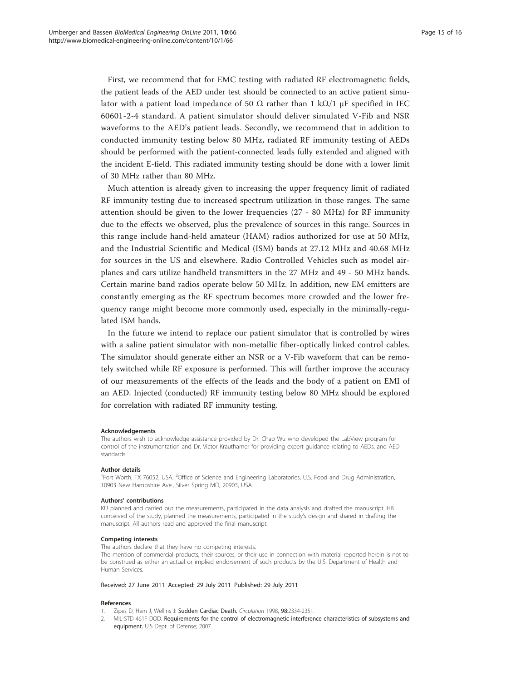<span id="page-14-0"></span>First, we recommend that for EMC testing with radiated RF electromagnetic fields, the patient leads of the AED under test should be connected to an active patient simulator with a patient load impedance of 50  $\Omega$  rather than 1 k $\Omega/1$  µF specified in IEC 60601-2-4 standard. A patient simulator should deliver simulated V-Fib and NSR waveforms to the AED's patient leads. Secondly, we recommend that in addition to conducted immunity testing below 80 MHz, radiated RF immunity testing of AEDs should be performed with the patient-connected leads fully extended and aligned with the incident E-field. This radiated immunity testing should be done with a lower limit of 30 MHz rather than 80 MHz.

Much attention is already given to increasing the upper frequency limit of radiated RF immunity testing due to increased spectrum utilization in those ranges. The same attention should be given to the lower frequencies (27 - 80 MHz) for RF immunity due to the effects we observed, plus the prevalence of sources in this range. Sources in this range include hand-held amateur (HAM) radios authorized for use at 50 MHz, and the Industrial Scientific and Medical (ISM) bands at 27.12 MHz and 40.68 MHz for sources in the US and elsewhere. Radio Controlled Vehicles such as model airplanes and cars utilize handheld transmitters in the 27 MHz and 49 - 50 MHz bands. Certain marine band radios operate below 50 MHz. In addition, new EM emitters are constantly emerging as the RF spectrum becomes more crowded and the lower frequency range might become more commonly used, especially in the minimally-regulated ISM bands.

In the future we intend to replace our patient simulator that is controlled by wires with a saline patient simulator with non-metallic fiber-optically linked control cables. The simulator should generate either an NSR or a V-Fib waveform that can be remotely switched while RF exposure is performed. This will further improve the accuracy of our measurements of the effects of the leads and the body of a patient on EMI of an AED. Injected (conducted) RF immunity testing below 80 MHz should be explored for correlation with radiated RF immunity testing.

#### Acknowledgements

The authors wish to acknowledge assistance provided by Dr. Chao Wu who developed the LabView program for control of the instrumentation and Dr. Victor Krauthamer for providing expert guidance relating to AEDs, and AED standards.

#### Author details

<sup>1</sup>Fort Worth, TX 76052, USA. <sup>2</sup>Office of Science and Engineering Laboratories, U.S. Food and Drug Administration, 10903 New Hampshire Ave., Silver Spring MD, 20903, USA.

#### Authors' contributions

KU planned and carried out the measurements, participated in the data analysis and drafted the manuscript. HB conceived of the study, planned the measurements, participated in the study's design and shared in drafting the manuscript. All authors read and approved the final manuscript.

#### Competing interests

The authors declare that they have no competing interests.

The mention of commercial products, their sources, or their use in connection with material reported herein is not to be construed as either an actual or implied endorsement of such products by the U.S. Department of Health and Human Services.

Received: 27 June 2011 Accepted: 29 July 2011 Published: 29 July 2011

#### References

- 1. Zipes D, Hein J, Wellins J: [Sudden Cardiac Death.](http://www.ncbi.nlm.nih.gov/pubmed/9826323?dopt=Abstract) Circulation 1998, 98:2334-2351.
- 2. MIL-STD 461F DOD: Requirements for the control of electromagnetic interference characteristics of subsystems and equipment. U.S Dept. of Defense; 2007.